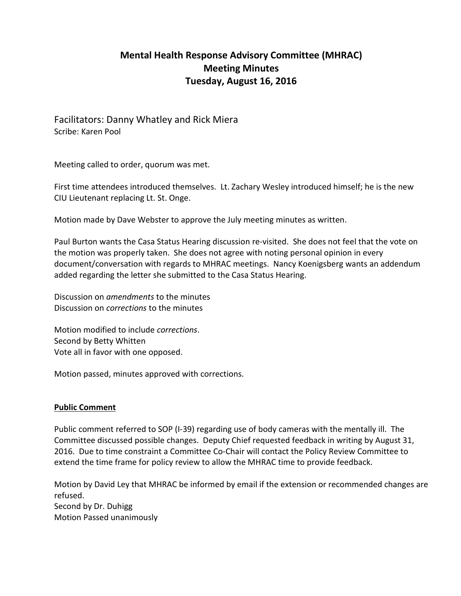# **Mental Health Response Advisory Committee (MHRAC) Meeting Minutes Tuesday, August 16, 2016**

Facilitators: Danny Whatley and Rick Miera Scribe: Karen Pool

Meeting called to order, quorum was met.

First time attendees introduced themselves. Lt. Zachary Wesley introduced himself; he is the new CIU Lieutenant replacing Lt. St. Onge.

Motion made by Dave Webster to approve the July meeting minutes as written.

Paul Burton wants the Casa Status Hearing discussion re-visited. She does not feel that the vote on the motion was properly taken. She does not agree with noting personal opinion in every document/conversation with regards to MHRAC meetings. Nancy Koenigsberg wants an addendum added regarding the letter she submitted to the Casa Status Hearing.

Discussion on *amendments* to the minutes Discussion on *corrections* to the minutes

Motion modified to include *corrections*. Second by Betty Whitten Vote all in favor with one opposed.

Motion passed, minutes approved with corrections.

# **Public Comment**

Public comment referred to SOP (I-39) regarding use of body cameras with the mentally ill. The Committee discussed possible changes. Deputy Chief requested feedback in writing by August 31, 2016. Due to time constraint a Committee Co-Chair will contact the Policy Review Committee to extend the time frame for policy review to allow the MHRAC time to provide feedback.

Motion by David Ley that MHRAC be informed by email if the extension or recommended changes are refused. Second by Dr. Duhigg Motion Passed unanimously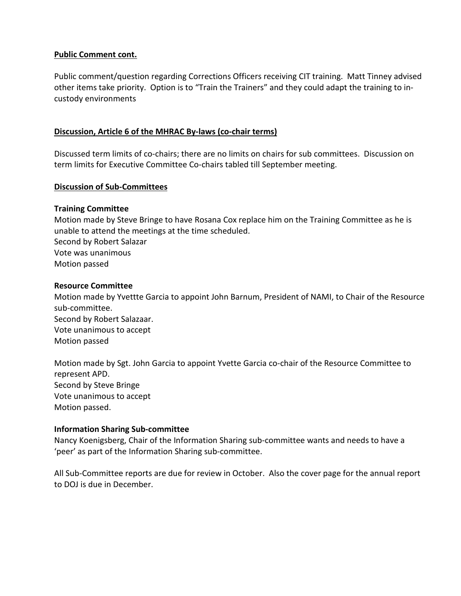# **Public Comment cont.**

Public comment/question regarding Corrections Officers receiving CIT training. Matt Tinney advised other items take priority. Option is to "Train the Trainers" and they could adapt the training to incustody environments

## **Discussion, Article 6 of the MHRAC By-laws (co-chair terms)**

Discussed term limits of co-chairs; there are no limits on chairs for sub committees. Discussion on term limits for Executive Committee Co-chairs tabled till September meeting.

#### **Discussion of Sub-Committees**

### **Training Committee**

Motion made by Steve Bringe to have Rosana Cox replace him on the Training Committee as he is unable to attend the meetings at the time scheduled. Second by Robert Salazar Vote was unanimous Motion passed

#### **Resource Committee**

Motion made by Yvettte Garcia to appoint John Barnum, President of NAMI, to Chair of the Resource sub-committee. Second by Robert Salazaar. Vote unanimous to accept Motion passed

Motion made by Sgt. John Garcia to appoint Yvette Garcia co-chair of the Resource Committee to represent APD. Second by Steve Bringe Vote unanimous to accept Motion passed.

#### **Information Sharing Sub-committee**

Nancy Koenigsberg, Chair of the Information Sharing sub-committee wants and needs to have a 'peer' as part of the Information Sharing sub-committee.

All Sub-Committee reports are due for review in October. Also the cover page for the annual report to DOJ is due in December.